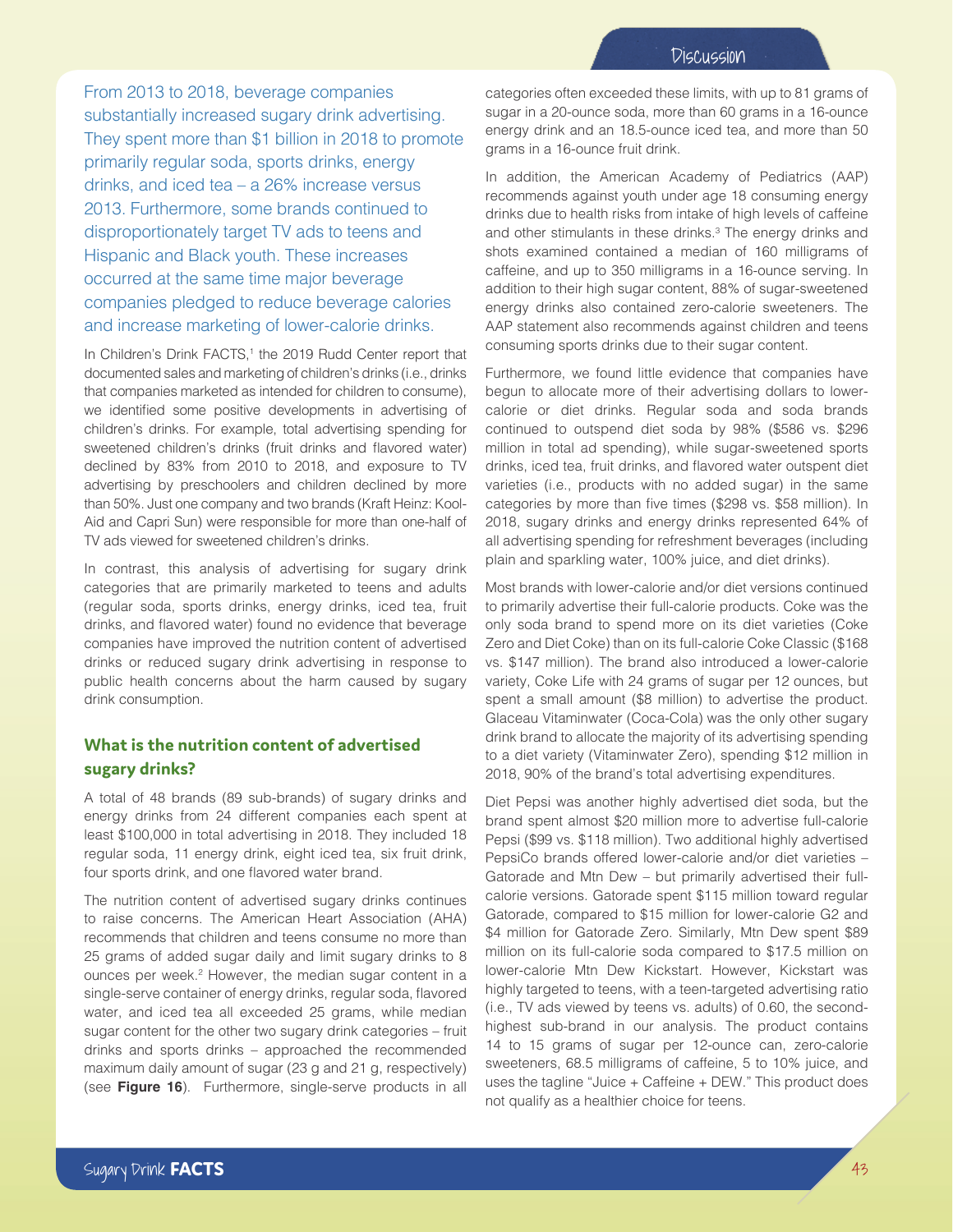From 2013 to 2018, beverage companies substantially increased sugary drink advertising. They spent more than \$1 billion in 2018 to promote primarily regular soda, sports drinks, energy drinks, and iced tea – a 26% increase versus 2013. Furthermore, some brands continued to disproportionately target TV ads to teens and Hispanic and Black youth. These increases occurred at the same time major beverage companies pledged to reduce beverage calories and increase marketing of lower-calorie drinks.

In Children's Drink FACTS,<sup>1</sup> the 2019 Rudd Center report that documented sales and marketing of children's drinks (i.e., drinks that companies marketed as intended for children to consume), we identified some positive developments in advertising of children's drinks. For example, total advertising spending for sweetened children's drinks (fruit drinks and flavored water) declined by 83% from 2010 to 2018, and exposure to TV advertising by preschoolers and children declined by more than 50%. Just one company and two brands (Kraft Heinz: Kool-Aid and Capri Sun) were responsible for more than one-half of TV ads viewed for sweetened children's drinks.

In contrast, this analysis of advertising for sugary drink categories that are primarily marketed to teens and adults (regular soda, sports drinks, energy drinks, iced tea, fruit drinks, and flavored water) found no evidence that beverage companies have improved the nutrition content of advertised drinks or reduced sugary drink advertising in response to public health concerns about the harm caused by sugary drink consumption.

## **What is the nutrition content of advertised sugary drinks?**

A total of 48 brands (89 sub-brands) of sugary drinks and energy drinks from 24 different companies each spent at least \$100,000 in total advertising in 2018. They included 18 regular soda, 11 energy drink, eight iced tea, six fruit drink, four sports drink, and one flavored water brand.

The nutrition content of advertised sugary drinks continues to raise concerns. The American Heart Association (AHA) recommends that children and teens consume no more than 25 grams of added sugar daily and limit sugary drinks to 8 ounces per week.<sup>2</sup> However, the median sugar content in a single-serve container of energy drinks, regular soda, flavored water, and iced tea all exceeded 25 grams, while median sugar content for the other two sugary drink categories – fruit drinks and sports drinks – approached the recommended maximum daily amount of sugar (23 g and 21 g, respectively) (see **Figure 16**). Furthermore, single-serve products in all

categories often exceeded these limits, with up to 81 grams of sugar in a 20-ounce soda, more than 60 grams in a 16-ounce energy drink and an 18.5-ounce iced tea, and more than 50 grams in a 16-ounce fruit drink.

In addition, the American Academy of Pediatrics (AAP) recommends against youth under age 18 consuming energy drinks due to health risks from intake of high levels of caffeine and other stimulants in these drinks.<sup>3</sup> The energy drinks and shots examined contained a median of 160 milligrams of caffeine, and up to 350 milligrams in a 16-ounce serving. In addition to their high sugar content, 88% of sugar-sweetened energy drinks also contained zero-calorie sweeteners. The AAP statement also recommends against children and teens consuming sports drinks due to their sugar content.

Furthermore, we found little evidence that companies have begun to allocate more of their advertising dollars to lowercalorie or diet drinks. Regular soda and soda brands continued to outspend diet soda by 98% (\$586 vs. \$296 million in total ad spending), while sugar-sweetened sports drinks, iced tea, fruit drinks, and flavored water outspent diet varieties (i.e., products with no added sugar) in the same categories by more than five times (\$298 vs. \$58 million). In 2018, sugary drinks and energy drinks represented 64% of all advertising spending for refreshment beverages (including plain and sparkling water, 100% juice, and diet drinks).

Most brands with lower-calorie and/or diet versions continued to primarily advertise their full-calorie products. Coke was the only soda brand to spend more on its diet varieties (Coke Zero and Diet Coke) than on its full-calorie Coke Classic (\$168 vs. \$147 million). The brand also introduced a lower-calorie variety, Coke Life with 24 grams of sugar per 12 ounces, but spent a small amount (\$8 million) to advertise the product. Glaceau Vitaminwater (Coca-Cola) was the only other sugary drink brand to allocate the majority of its advertising spending to a diet variety (Vitaminwater Zero), spending \$12 million in 2018, 90% of the brand's total advertising expenditures.

Diet Pepsi was another highly advertised diet soda, but the brand spent almost \$20 million more to advertise full-calorie Pepsi (\$99 vs. \$118 million). Two additional highly advertised PepsiCo brands offered lower-calorie and/or diet varieties – Gatorade and Mtn Dew – but primarily advertised their fullcalorie versions. Gatorade spent \$115 million toward regular Gatorade, compared to \$15 million for lower-calorie G2 and \$4 million for Gatorade Zero. Similarly, Mtn Dew spent \$89 million on its full-calorie soda compared to \$17.5 million on lower-calorie Mtn Dew Kickstart. However, Kickstart was highly targeted to teens, with a teen-targeted advertising ratio (i.e., TV ads viewed by teens vs. adults) of 0.60, the secondhighest sub-brand in our analysis. The product contains 14 to 15 grams of sugar per 12-ounce can, zero-calorie sweeteners, 68.5 milligrams of caffeine, 5 to 10% juice, and uses the tagline "Juice + Caffeine + DEW." This product does not qualify as a healthier choice for teens.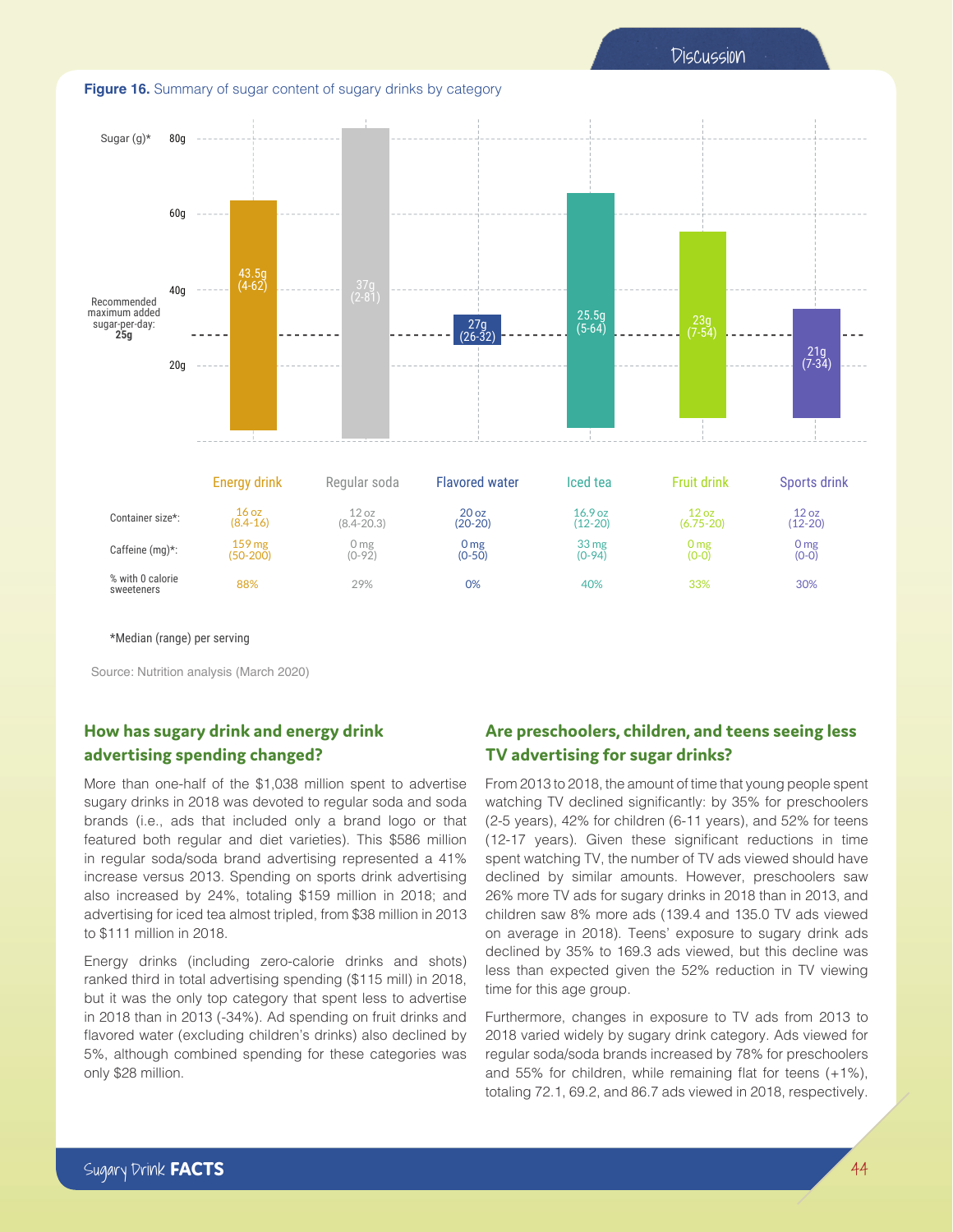



\*Median (range) per serving

Source: Nutrition analysis (March 2020)

## **How has sugary drink and energy drink advertising spending changed?**

More than one-half of the \$1,038 million spent to advertise sugary drinks in 2018 was devoted to regular soda and soda brands (i.e., ads that included only a brand logo or that featured both regular and diet varieties). This \$586 million in regular soda/soda brand advertising represented a 41% increase versus 2013. Spending on sports drink advertising also increased by 24%, totaling \$159 million in 2018; and advertising for iced tea almost tripled, from \$38 million in 2013 to \$111 million in 2018.

Energy drinks (including zero-calorie drinks and shots) ranked third in total advertising spending (\$115 mill) in 2018, but it was the only top category that spent less to advertise in 2018 than in 2013 (-34%). Ad spending on fruit drinks and flavored water (excluding children's drinks) also declined by 5%, although combined spending for these categories was only \$28 million.

## **Are preschoolers, children, and teens seeing less TV advertising for sugar drinks?**

From 2013 to 2018, the amount of time that young people spent watching TV declined significantly: by 35% for preschoolers (2-5 years), 42% for children (6-11 years), and 52% for teens (12-17 years). Given these significant reductions in time spent watching TV, the number of TV ads viewed should have declined by similar amounts. However, preschoolers saw 26% more TV ads for sugary drinks in 2018 than in 2013, and children saw 8% more ads (139.4 and 135.0 TV ads viewed on average in 2018). Teens' exposure to sugary drink ads declined by 35% to 169.3 ads viewed, but this decline was less than expected given the 52% reduction in TV viewing time for this age group.

Furthermore, changes in exposure to TV ads from 2013 to 2018 varied widely by sugary drink category. Ads viewed for regular soda/soda brands increased by 78% for preschoolers and 55% for children, while remaining flat for teens (+1%), totaling 72.1, 69.2, and 86.7 ads viewed in 2018, respectively.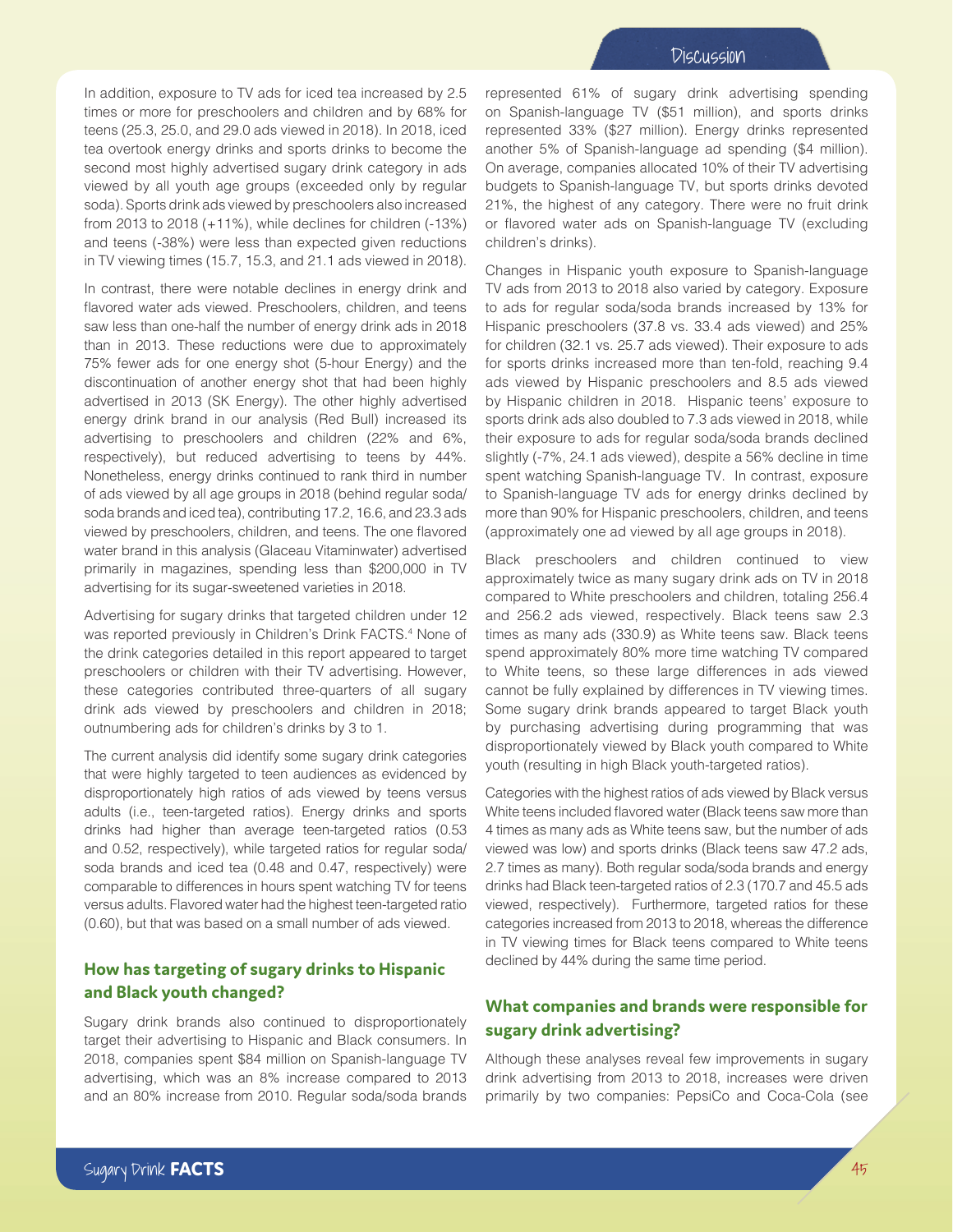In addition, exposure to TV ads for iced tea increased by 2.5 times or more for preschoolers and children and by 68% for teens (25.3, 25.0, and 29.0 ads viewed in 2018). In 2018, iced tea overtook energy drinks and sports drinks to become the second most highly advertised sugary drink category in ads viewed by all youth age groups (exceeded only by regular soda). Sports drink ads viewed by preschoolers also increased from 2013 to 2018 (+11%), while declines for children (-13%) and teens (-38%) were less than expected given reductions in TV viewing times (15.7, 15.3, and 21.1 ads viewed in 2018).

In contrast, there were notable declines in energy drink and flavored water ads viewed. Preschoolers, children, and teens saw less than one-half the number of energy drink ads in 2018 than in 2013. These reductions were due to approximately 75% fewer ads for one energy shot (5-hour Energy) and the discontinuation of another energy shot that had been highly advertised in 2013 (SK Energy). The other highly advertised energy drink brand in our analysis (Red Bull) increased its advertising to preschoolers and children (22% and 6%, respectively), but reduced advertising to teens by 44%. Nonetheless, energy drinks continued to rank third in number of ads viewed by all age groups in 2018 (behind regular soda/ soda brands and iced tea), contributing 17.2, 16.6, and 23.3 ads viewed by preschoolers, children, and teens. The one flavored water brand in this analysis (Glaceau Vitaminwater) advertised primarily in magazines, spending less than \$200,000 in TV advertising for its sugar-sweetened varieties in 2018.

Advertising for sugary drinks that targeted children under 12 was reported previously in Children's Drink FACTS.<sup>4</sup> None of the drink categories detailed in this report appeared to target preschoolers or children with their TV advertising. However, these categories contributed three-quarters of all sugary drink ads viewed by preschoolers and children in 2018; outnumbering ads for children's drinks by 3 to 1.

The current analysis did identify some sugary drink categories that were highly targeted to teen audiences as evidenced by disproportionately high ratios of ads viewed by teens versus adults (i.e., teen-targeted ratios). Energy drinks and sports drinks had higher than average teen-targeted ratios (0.53 and 0.52, respectively), while targeted ratios for regular soda/ soda brands and iced tea (0.48 and 0.47, respectively) were comparable to differences in hours spent watching TV for teens versus adults. Flavored water had the highest teen-targeted ratio (0.60), but that was based on a small number of ads viewed.

## **How has targeting of sugary drinks to Hispanic and Black youth changed?**

Sugary drink brands also continued to disproportionately target their advertising to Hispanic and Black consumers. In 2018, companies spent \$84 million on Spanish-language TV advertising, which was an 8% increase compared to 2013 and an 80% increase from 2010. Regular soda/soda brands

represented 61% of sugary drink advertising spending on Spanish-language TV (\$51 million), and sports drinks represented 33% (\$27 million). Energy drinks represented another 5% of Spanish-language ad spending (\$4 million). On average, companies allocated 10% of their TV advertising budgets to Spanish-language TV, but sports drinks devoted 21%, the highest of any category. There were no fruit drink or flavored water ads on Spanish-language TV (excluding children's drinks).

Changes in Hispanic youth exposure to Spanish-language TV ads from 2013 to 2018 also varied by category. Exposure to ads for regular soda/soda brands increased by 13% for Hispanic preschoolers (37.8 vs. 33.4 ads viewed) and 25% for children (32.1 vs. 25.7 ads viewed). Their exposure to ads for sports drinks increased more than ten-fold, reaching 9.4 ads viewed by Hispanic preschoolers and 8.5 ads viewed by Hispanic children in 2018. Hispanic teens' exposure to sports drink ads also doubled to 7.3 ads viewed in 2018, while their exposure to ads for regular soda/soda brands declined slightly (-7%, 24.1 ads viewed), despite a 56% decline in time spent watching Spanish-language TV. In contrast, exposure to Spanish-language TV ads for energy drinks declined by more than 90% for Hispanic preschoolers, children, and teens (approximately one ad viewed by all age groups in 2018).

Black preschoolers and children continued to view approximately twice as many sugary drink ads on TV in 2018 compared to White preschoolers and children, totaling 256.4 and 256.2 ads viewed, respectively. Black teens saw 2.3 times as many ads (330.9) as White teens saw. Black teens spend approximately 80% more time watching TV compared to White teens, so these large differences in ads viewed cannot be fully explained by differences in TV viewing times. Some sugary drink brands appeared to target Black youth by purchasing advertising during programming that was disproportionately viewed by Black youth compared to White youth (resulting in high Black youth-targeted ratios).

Categories with the highest ratios of ads viewed by Black versus White teens included flavored water (Black teens saw more than 4 times as many ads as White teens saw, but the number of ads viewed was low) and sports drinks (Black teens saw 47.2 ads, 2.7 times as many). Both regular soda/soda brands and energy drinks had Black teen-targeted ratios of 2.3 (170.7 and 45.5 ads viewed, respectively). Furthermore, targeted ratios for these categories increased from 2013 to 2018, whereas the difference in TV viewing times for Black teens compared to White teens declined by 44% during the same time period.

# **What companies and brands were responsible for sugary drink advertising?**

Although these analyses reveal few improvements in sugary drink advertising from 2013 to 2018, increases were driven primarily by two companies: PepsiCo and Coca-Cola (see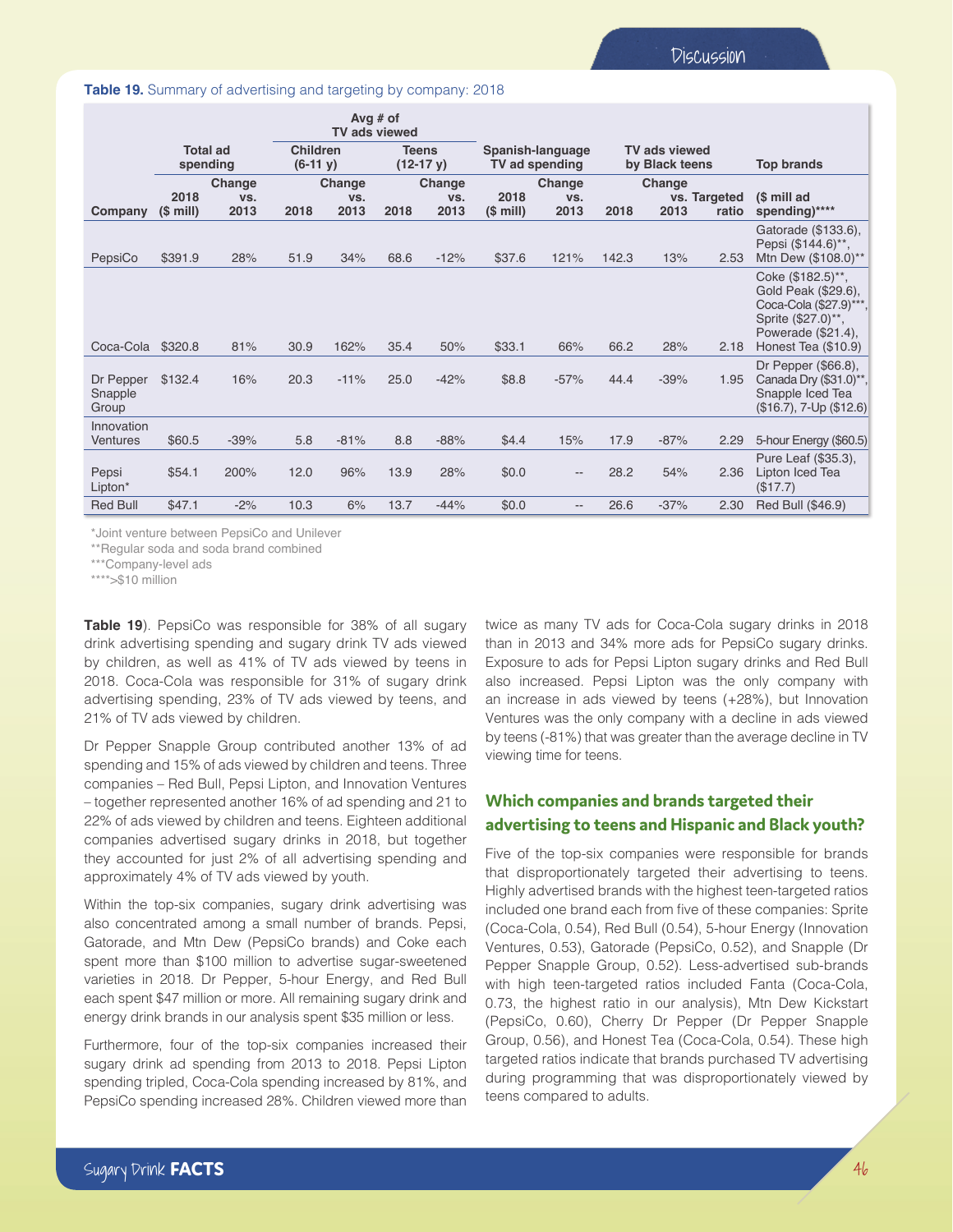#### **Table 19.** Summary of advertising and targeting by company: 2018

|                               |                             |               | Avg $#$ of<br>TV ads viewed   |        |                             |        |                                    |                          |                                        |        |                   |                                                                                                                                       |
|-------------------------------|-----------------------------|---------------|-------------------------------|--------|-----------------------------|--------|------------------------------------|--------------------------|----------------------------------------|--------|-------------------|---------------------------------------------------------------------------------------------------------------------------------------|
|                               | <b>Total ad</b><br>spending |               | <b>Children</b><br>$(6-11 y)$ |        | <b>Teens</b><br>$(12-17 y)$ |        | Spanish-language<br>TV ad spending |                          | <b>TV ads viewed</b><br>by Black teens |        | <b>Top brands</b> |                                                                                                                                       |
|                               | 2018                        | Change<br>VS. | Change<br>VS.                 |        | Change<br>VS.               |        | Change<br>2018<br>VS.              |                          | Change<br>vs. Targeted                 |        | (\$ mill ad       |                                                                                                                                       |
| Company                       | $(S$ mill)                  | 2013          | 2018                          | 2013   | 2018                        | 2013   | $(5 \text{ mill})$                 | 2013                     | 2018                                   | 2013   | ratio             | spending)****                                                                                                                         |
| PepsiCo                       | \$391.9                     | 28%           | 51.9                          | 34%    | 68.6                        | $-12%$ | \$37.6                             | 121%                     | 142.3                                  | 13%    | 2.53              | Gatorade (\$133.6),<br>Pepsi (\$144.6)**,<br>Mtn Dew (\$108.0)**                                                                      |
| Coca-Cola                     | \$320.8                     | 81%           | 30.9                          | 162%   | 35.4                        | 50%    | \$33.1                             | 66%                      | 66.2                                   | 28%    | 2.18              | Coke (\$182.5)**,<br>Gold Peak (\$29.6),<br>Coca-Cola (\$27.9)***,<br>Sprite (\$27.0)**,<br>Powerade (\$21.4),<br>Honest Tea (\$10.9) |
| Dr Pepper<br>Snapple<br>Group | \$132.4                     | 16%           | 20.3                          | $-11%$ | 25.0                        | $-42%$ | \$8.8                              | $-57%$                   | 44.4                                   | $-39%$ | 1.95              | Dr Pepper (\$66.8),<br>Canada Dry (\$31.0)**,<br>Snapple Iced Tea<br>$($16.7), 7$ -Up $($12.6)$                                       |
| Innovation<br>Ventures        | \$60.5                      | $-39%$        | 5.8                           | $-81%$ | 8.8                         | $-88%$ | \$4.4                              | 15%                      | 17.9                                   | $-87%$ | 2.29              | 5-hour Energy (\$60.5)                                                                                                                |
| Pepsi<br>Lipton*              | \$54.1                      | 200%          | 12.0                          | 96%    | 13.9                        | 28%    | \$0.0                              | $\overline{\phantom{a}}$ | 28.2                                   | 54%    | 2.36              | Pure Leaf (\$35.3),<br>Lipton Iced Tea<br>(\$17.7)                                                                                    |
| <b>Red Bull</b>               | \$47.1                      | $-2%$         | 10.3                          | 6%     | 13.7                        | $-44%$ | \$0.0                              |                          | 26.6                                   | $-37%$ | 2.30              | Red Bull (\$46.9)                                                                                                                     |

\*Joint venture between PepsiCo and Unilever

\*\*Regular soda and soda brand combined

\*\*\*Company-level ads

\*\*\*\*>\$10 million

**Table 19**). PepsiCo was responsible for 38% of all sugary drink advertising spending and sugary drink TV ads viewed by children, as well as 41% of TV ads viewed by teens in 2018. Coca-Cola was responsible for 31% of sugary drink advertising spending, 23% of TV ads viewed by teens, and 21% of TV ads viewed by children.

Dr Pepper Snapple Group contributed another 13% of ad spending and 15% of ads viewed by children and teens. Three companies – Red Bull, Pepsi Lipton, and Innovation Ventures – together represented another 16% of ad spending and 21 to 22% of ads viewed by children and teens. Eighteen additional companies advertised sugary drinks in 2018, but together they accounted for just 2% of all advertising spending and approximately 4% of TV ads viewed by youth.

Within the top-six companies, sugary drink advertising was also concentrated among a small number of brands. Pepsi, Gatorade, and Mtn Dew (PepsiCo brands) and Coke each spent more than \$100 million to advertise sugar-sweetened varieties in 2018. Dr Pepper, 5-hour Energy, and Red Bull each spent \$47 million or more. All remaining sugary drink and energy drink brands in our analysis spent \$35 million or less.

Furthermore, four of the top-six companies increased their sugary drink ad spending from 2013 to 2018. Pepsi Lipton spending tripled, Coca-Cola spending increased by 81%, and PepsiCo spending increased 28%. Children viewed more than twice as many TV ads for Coca-Cola sugary drinks in 2018 than in 2013 and 34% more ads for PepsiCo sugary drinks. Exposure to ads for Pepsi Lipton sugary drinks and Red Bull also increased. Pepsi Lipton was the only company with an increase in ads viewed by teens (+28%), but Innovation Ventures was the only company with a decline in ads viewed by teens (-81%) that was greater than the average decline in TV viewing time for teens.

## **Which companies and brands targeted their advertising to teens and Hispanic and Black youth?**

Five of the top-six companies were responsible for brands that disproportionately targeted their advertising to teens. Highly advertised brands with the highest teen-targeted ratios included one brand each from five of these companies: Sprite (Coca-Cola, 0.54), Red Bull (0.54), 5-hour Energy (Innovation Ventures, 0.53), Gatorade (PepsiCo, 0.52), and Snapple (Dr Pepper Snapple Group, 0.52). Less-advertised sub-brands with high teen-targeted ratios included Fanta (Coca-Cola, 0.73, the highest ratio in our analysis), Mtn Dew Kickstart (PepsiCo, 0.60), Cherry Dr Pepper (Dr Pepper Snapple Group, 0.56), and Honest Tea (Coca-Cola, 0.54). These high targeted ratios indicate that brands purchased TV advertising during programming that was disproportionately viewed by teens compared to adults.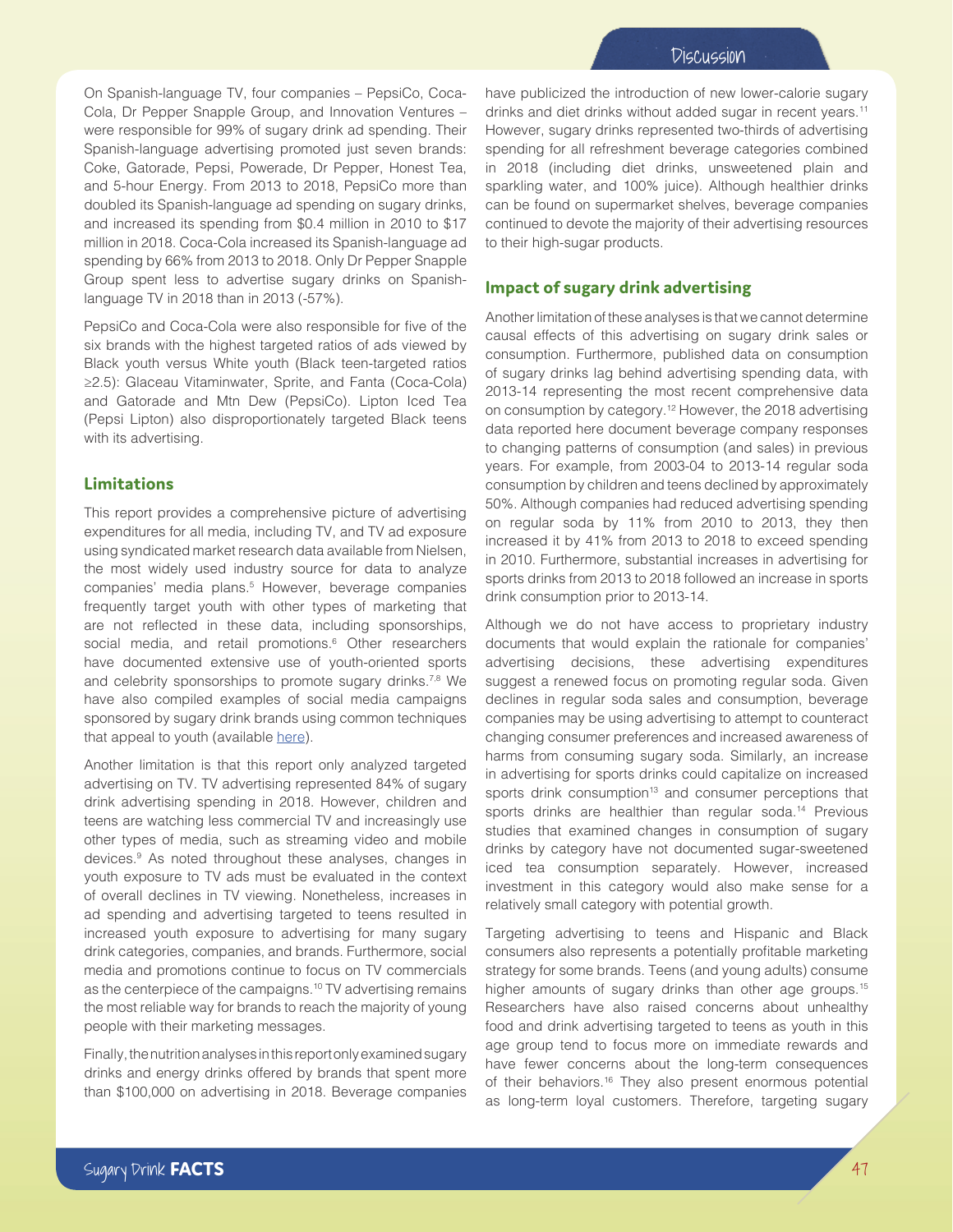On Spanish-language TV, four companies – PepsiCo, Coca-Cola, Dr Pepper Snapple Group, and Innovation Ventures – were responsible for 99% of sugary drink ad spending. Their Spanish-language advertising promoted just seven brands: Coke, Gatorade, Pepsi, Powerade, Dr Pepper, Honest Tea, and 5-hour Energy. From 2013 to 2018, PepsiCo more than doubled its Spanish-language ad spending on sugary drinks, and increased its spending from \$0.4 million in 2010 to \$17 million in 2018. Coca-Cola increased its Spanish-language ad spending by 66% from 2013 to 2018. Only Dr Pepper Snapple Group spent less to advertise sugary drinks on Spanishlanguage TV in 2018 than in 2013 (-57%).

PepsiCo and Coca-Cola were also responsible for five of the six brands with the highest targeted ratios of ads viewed by Black youth versus White youth (Black teen-targeted ratios ≥2.5): Glaceau Vitaminwater, Sprite, and Fanta (Coca-Cola) and Gatorade and Mtn Dew (PepsiCo). Lipton Iced Tea (Pepsi Lipton) also disproportionately targeted Black teens with its advertising.

### **Limitations**

This report provides a comprehensive picture of advertising expenditures for all media, including TV, and TV ad exposure using syndicated market research data available from Nielsen, the most widely used industry source for data to analyze companies' media plans.<sup>5</sup> However, beverage companies frequently target youth with other types of marketing that are not reflected in these data, including sponsorships, social media, and retail promotions.<sup>6</sup> Other researchers have documented extensive use of youth-oriented sports and celebrity sponsorships to promote sugary drinks.<sup>7,8</sup> We have also compiled examples of social media campaigns sponsored by sugary drink brands using common techniques that appeal to youth (available [here](http://uconnruddcenter.org/files/SocialMediaCampaigns2020.pdf)).

Another limitation is that this report only analyzed targeted advertising on TV. TV advertising represented 84% of sugary drink advertising spending in 2018. However, children and teens are watching less commercial TV and increasingly use other types of media, such as streaming video and mobile devices.9 As noted throughout these analyses, changes in youth exposure to TV ads must be evaluated in the context of overall declines in TV viewing. Nonetheless, increases in ad spending and advertising targeted to teens resulted in increased youth exposure to advertising for many sugary drink categories, companies, and brands. Furthermore, social media and promotions continue to focus on TV commercials as the centerpiece of the campaigns.10 TV advertising remains the most reliable way for brands to reach the majority of young people with their marketing messages.

Finally, the nutrition analyses in this report only examined sugary drinks and energy drinks offered by brands that spent more than \$100,000 on advertising in 2018. Beverage companies have publicized the introduction of new lower-calorie sugary drinks and diet drinks without added sugar in recent years.<sup>11</sup> However, sugary drinks represented two-thirds of advertising spending for all refreshment beverage categories combined in 2018 (including diet drinks, unsweetened plain and sparkling water, and 100% juice). Although healthier drinks can be found on supermarket shelves, beverage companies continued to devote the majority of their advertising resources to their high-sugar products.

### **Impact of sugary drink advertising**

Another limitation of these analyses is that we cannot determine causal effects of this advertising on sugary drink sales or consumption. Furthermore, published data on consumption of sugary drinks lag behind advertising spending data, with 2013-14 representing the most recent comprehensive data on consumption by category.12 However, the 2018 advertising data reported here document beverage company responses to changing patterns of consumption (and sales) in previous years. For example, from 2003-04 to 2013-14 regular soda consumption by children and teens declined by approximately 50%. Although companies had reduced advertising spending on regular soda by 11% from 2010 to 2013, they then increased it by 41% from 2013 to 2018 to exceed spending in 2010. Furthermore, substantial increases in advertising for sports drinks from 2013 to 2018 followed an increase in sports drink consumption prior to 2013-14.

Although we do not have access to proprietary industry documents that would explain the rationale for companies' advertising decisions, these advertising expenditures suggest a renewed focus on promoting regular soda. Given declines in regular soda sales and consumption, beverage companies may be using advertising to attempt to counteract changing consumer preferences and increased awareness of harms from consuming sugary soda. Similarly, an increase in advertising for sports drinks could capitalize on increased sports drink consumption<sup>13</sup> and consumer perceptions that sports drinks are healthier than regular soda.<sup>14</sup> Previous studies that examined changes in consumption of sugary drinks by category have not documented sugar-sweetened iced tea consumption separately. However, increased investment in this category would also make sense for a relatively small category with potential growth.

Targeting advertising to teens and Hispanic and Black consumers also represents a potentially profitable marketing strategy for some brands. Teens (and young adults) consume higher amounts of sugary drinks than other age groups.<sup>15</sup> Researchers have also raised concerns about unhealthy food and drink advertising targeted to teens as youth in this age group tend to focus more on immediate rewards and have fewer concerns about the long-term consequences of their behaviors.16 They also present enormous potential as long-term loyal customers. Therefore, targeting sugary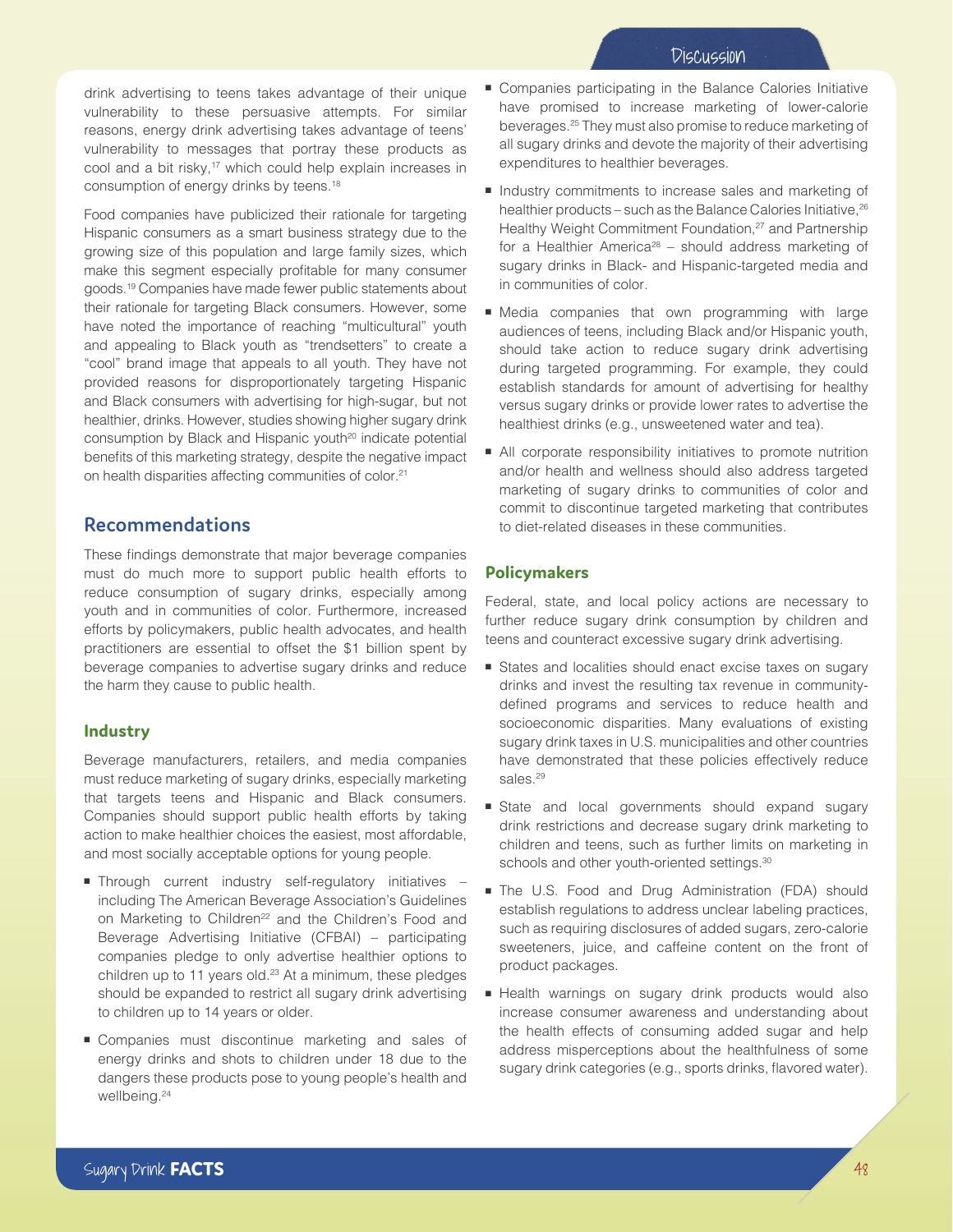drink advertising to teens takes advantage of their unique vulnerability to these persuasive attempts. For similar reasons, energy drink advertising takes advantage of teens' vulnerability to messages that portray these products as cool and a bit risky,<sup>17</sup> which could help explain increases in consumption of energy drinks by teens.18

Food companies have publicized their rationale for targeting Hispanic consumers as a smart business strategy due to the growing size of this population and large family sizes, which make this segment especially profitable for many consumer goods.19 Companies have made fewer public statements about their rationale for targeting Black consumers. However, some have noted the importance of reaching "multicultural" youth and appealing to Black youth as "trendsetters" to create a "cool" brand image that appeals to all youth. They have not provided reasons for disproportionately targeting Hispanic and Black consumers with advertising for high-sugar, but not healthier, drinks. However, studies showing higher sugary drink consumption by Black and Hispanic youth<sup>20</sup> indicate potential benefits of this marketing strategy, despite the negative impact on health disparities affecting communities of color.21

## **Recommendations**

These findings demonstrate that major beverage companies must do much more to support public health efforts to reduce consumption of sugary drinks, especially among youth and in communities of color. Furthermore, increased efforts by policymakers, public health advocates, and health practitioners are essential to offset the \$1 billion spent by beverage companies to advertise sugary drinks and reduce the harm they cause to public health.

### **Industry**

Beverage manufacturers, retailers, and media companies must reduce marketing of sugary drinks, especially marketing that targets teens and Hispanic and Black consumers. Companies should support public health efforts by taking action to make healthier choices the easiest, most affordable, and most socially acceptable options for young people.

- Through current industry self-regulatory initiatives including The American Beverage Association's Guidelines on Marketing to Children<sup>22</sup> and the Children's Food and Beverage Advertising Initiative (CFBAI) – participating companies pledge to only advertise healthier options to children up to 11 years old.<sup>23</sup> At a minimum, these pledges should be expanded to restrict all sugary drink advertising to children up to 14 years or older.
- Companies must discontinue marketing and sales of energy drinks and shots to children under 18 due to the dangers these products pose to young people's health and wellbeing.24
- Companies participating in the Balance Calories Initiative have promised to increase marketing of lower-calorie beverages.25 They must also promise to reduce marketing of all sugary drinks and devote the majority of their advertising expenditures to healthier beverages.
- Industry commitments to increase sales and marketing of healthier products – such as the Balance Calories Initiative, <sup>26</sup> Healthy Weight Commitment Foundation,<sup>27</sup> and Partnership for a Healthier America<sup>28</sup> – should address marketing of sugary drinks in Black- and Hispanic-targeted media and in communities of color.
- Media companies that own programming with large audiences of teens, including Black and/or Hispanic youth, should take action to reduce sugary drink advertising during targeted programming. For example, they could establish standards for amount of advertising for healthy versus sugary drinks or provide lower rates to advertise the healthiest drinks (e.g., unsweetened water and tea).
- All corporate responsibility initiatives to promote nutrition and/or health and wellness should also address targeted marketing of sugary drinks to communities of color and commit to discontinue targeted marketing that contributes to diet-related diseases in these communities.

### **Policymakers**

Federal, state, and local policy actions are necessary to further reduce sugary drink consumption by children and teens and counteract excessive sugary drink advertising.

- States and localities should enact excise taxes on sugary drinks and invest the resulting tax revenue in communitydefined programs and services to reduce health and socioeconomic disparities. Many evaluations of existing sugary drink taxes in U.S. municipalities and other countries have demonstrated that these policies effectively reduce sales.<sup>29</sup>
- State and local governments should expand sugary drink restrictions and decrease sugary drink marketing to children and teens, such as further limits on marketing in schools and other youth-oriented settings.<sup>30</sup>
- The U.S. Food and Drug Administration (FDA) should establish regulations to address unclear labeling practices, such as requiring disclosures of added sugars, zero-calorie sweeteners, juice, and caffeine content on the front of product packages.
- Health warnings on sugary drink products would also increase consumer awareness and understanding about the health effects of consuming added sugar and help address misperceptions about the healthfulness of some sugary drink categories (e.g., sports drinks, flavored water).